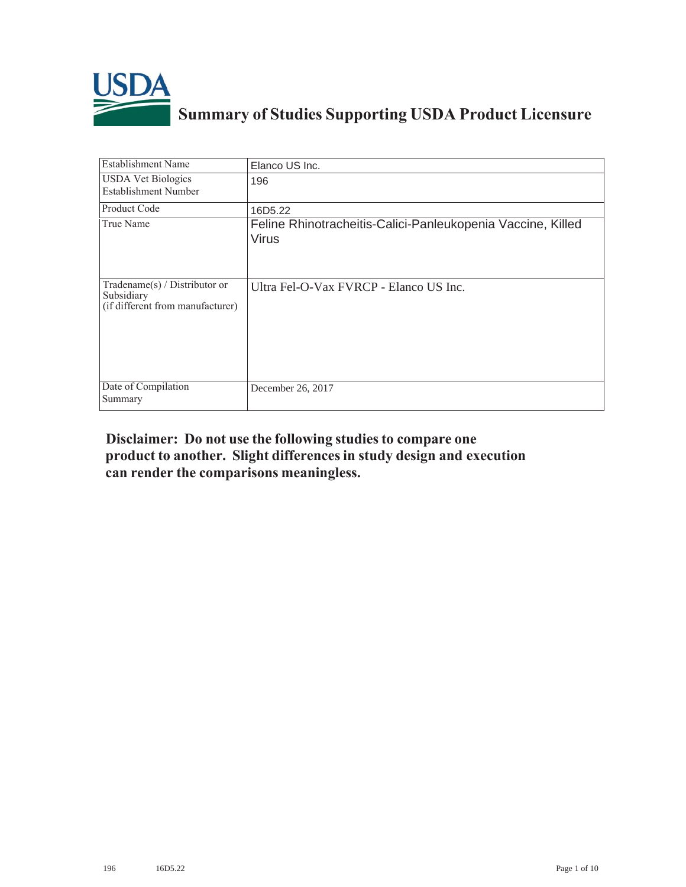

## **Summary of Studies Supporting USDA Product Licensure**

| <b>Establishment Name</b>                                                       | Elanco US Inc.                                                              |
|---------------------------------------------------------------------------------|-----------------------------------------------------------------------------|
| <b>USDA</b> Vet Biologics<br><b>Establishment Number</b>                        | 196                                                                         |
| Product Code                                                                    | 16D5.22                                                                     |
| True Name                                                                       | Feline Rhinotracheitis-Calici-Panleukopenia Vaccine, Killed<br><b>Virus</b> |
| Tradename(s) / Distributor or<br>Subsidiary<br>(if different from manufacturer) | Ultra Fel-O-Vax FVRCP - Elanco US Inc.                                      |
| Date of Compilation<br>Summary                                                  | December 26, 2017                                                           |

## Disclaimer: Do not use the following studies to compare one product to another. Slight differences in study design and execution can render the comparisons meaningless.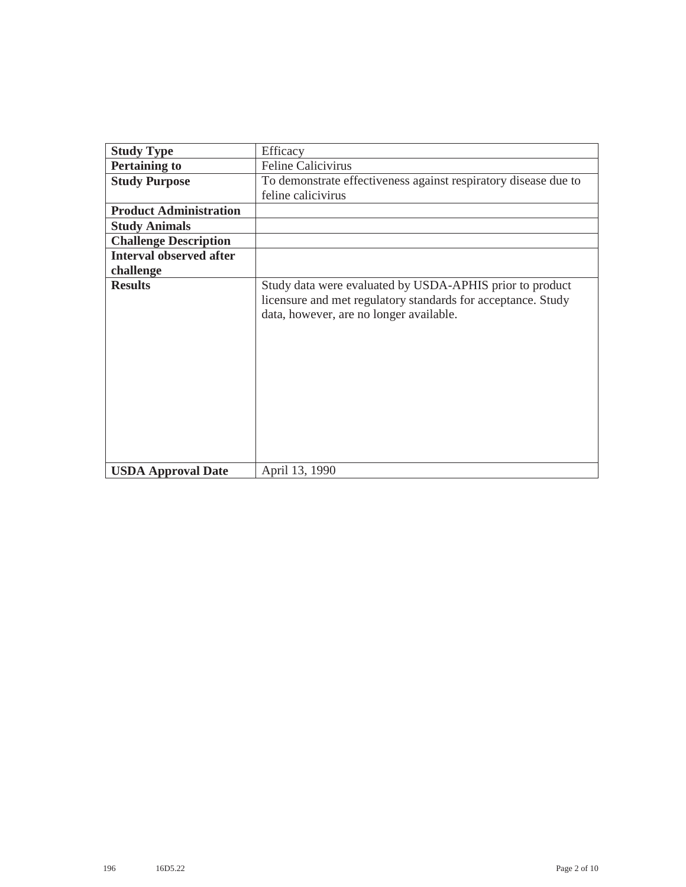| <b>Study Type</b>              | Efficacy                                                                                                                                                            |
|--------------------------------|---------------------------------------------------------------------------------------------------------------------------------------------------------------------|
| <b>Pertaining to</b>           | <b>Feline Calicivirus</b>                                                                                                                                           |
| <b>Study Purpose</b>           | To demonstrate effectiveness against respiratory disease due to                                                                                                     |
|                                | feline calicivirus                                                                                                                                                  |
| <b>Product Administration</b>  |                                                                                                                                                                     |
| <b>Study Animals</b>           |                                                                                                                                                                     |
| <b>Challenge Description</b>   |                                                                                                                                                                     |
| <b>Interval observed after</b> |                                                                                                                                                                     |
| challenge                      |                                                                                                                                                                     |
| <b>Results</b>                 | Study data were evaluated by USDA-APHIS prior to product<br>licensure and met regulatory standards for acceptance. Study<br>data, however, are no longer available. |
| <b>USDA Approval Date</b>      | April 13, 1990                                                                                                                                                      |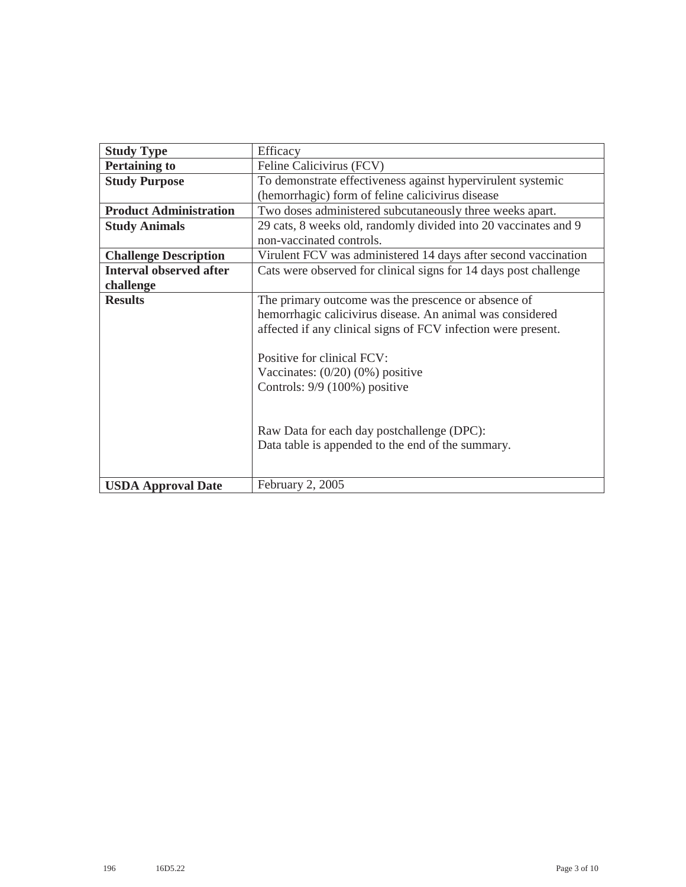| <b>Study Type</b>              | Efficacy                                                         |
|--------------------------------|------------------------------------------------------------------|
| <b>Pertaining to</b>           | Feline Calicivirus (FCV)                                         |
| <b>Study Purpose</b>           | To demonstrate effectiveness against hypervirulent systemic      |
|                                | (hemorrhagic) form of feline calicivirus disease                 |
| <b>Product Administration</b>  | Two doses administered subcutaneously three weeks apart.         |
| <b>Study Animals</b>           | 29 cats, 8 weeks old, randomly divided into 20 vaccinates and 9  |
|                                | non-vaccinated controls.                                         |
| <b>Challenge Description</b>   | Virulent FCV was administered 14 days after second vaccination   |
| <b>Interval observed after</b> | Cats were observed for clinical signs for 14 days post challenge |
| challenge                      |                                                                  |
| <b>Results</b>                 | The primary outcome was the prescence or absence of              |
|                                | hemorrhagic calicivirus disease. An animal was considered        |
|                                | affected if any clinical signs of FCV infection were present.    |
|                                |                                                                  |
|                                | Positive for clinical FCV:                                       |
|                                | Vaccinates: $(0/20)$ $(0%)$ positive                             |
|                                | Controls: 9/9 (100%) positive                                    |
|                                |                                                                  |
|                                |                                                                  |
|                                | Raw Data for each day postchallenge (DPC):                       |
|                                | Data table is appended to the end of the summary.                |
|                                |                                                                  |
|                                |                                                                  |
| <b>USDA Approval Date</b>      | February 2, 2005                                                 |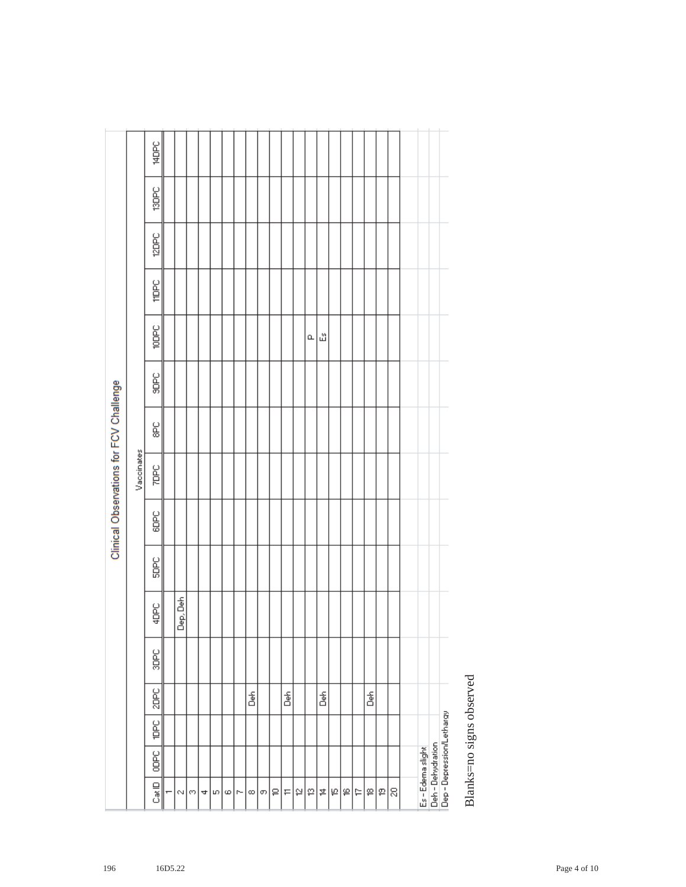|  | 훕                                 |
|--|-----------------------------------|
|  | 훕<br>á<br>Dep-Depression/Letharqy |

Blanks=no signs observed Blanks=no signs observed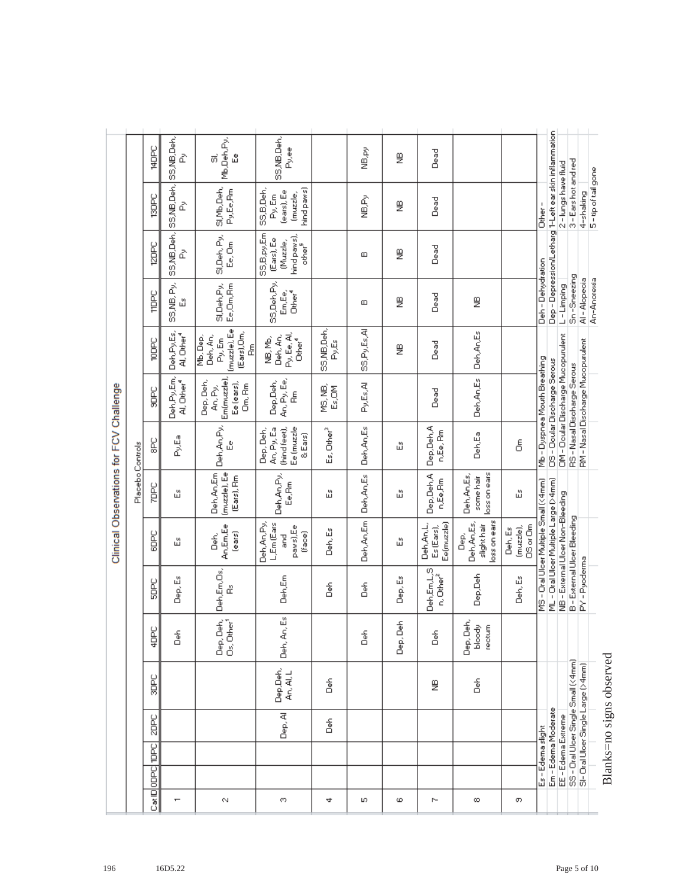|                                         |                  | JdDbC          | ₫                                     | Mb,Deh,Py,<br>்<br>ů                                              | SS, NB, Deh,<br>Py,ee                                                     |                        | ve, ev              | g              | Dead                                   |                                                        |                                  |                                       |                                                       |                                    |                                     |                                    |                          |
|-----------------------------------------|------------------|----------------|---------------------------------------|-------------------------------------------------------------------|---------------------------------------------------------------------------|------------------------|---------------------|----------------|----------------------------------------|--------------------------------------------------------|----------------------------------|---------------------------------------|-------------------------------------------------------|------------------------------------|-------------------------------------|------------------------------------|--------------------------|
|                                         |                  | <b>SOPC</b>    | SS,NB,Deh, SS,NB,Deh, SS,NB,Deh,<br>₫ | SI, Mb, Deh,<br>Py.Ee.Rm                                          | hind paws)<br>SS,B,Deh,<br>(ears), Ee<br>(muzzle,<br>Py, Em               |                        | AP<br>9             | g              | <b>Dead</b>                            |                                                        |                                  | Other-                                |                                                       | 2-lungs have fluid                 | 3-Earshot and red                   | 4-shaking                          | 5-tip of tail gone       |
|                                         |                  | <b>Sdas</b>    | ₫                                     | SI, Deh, Py,<br>Ee, Om                                            | SS,B,py,Em<br>hind paws),<br>(Ears), Ee<br>(Muzzle,<br>other <sup>5</sup> |                        | Ш                   | g              | Dead                                   |                                                        |                                  |                                       | Dep - Depression/Letharg 1-Left ear skin inflammation |                                    |                                     |                                    |                          |
|                                         |                  | <b>TIDPC</b>   | SS,NB, Py,<br>ű                       | Ee, Om, Rm<br>SI, Deh, Py,                                        | SS, Deh, Py,<br>Em,Ee,<br>Other <sup>4</sup>                              |                        | ⅏                   | ₿              | Dead                                   | ₿                                                      |                                  | Deh-Dehydration                       |                                                       | L-Limping                          | Sn-Sneezing                         | Al-Alopecia                        | An-Anoresia              |
|                                         |                  | <b>Japo</b>    | Deh,Py,Es,<br>Al, Other <sup>4</sup>  | (muzzle), Ee<br>(Ears),Om,<br>Deh, An,<br>Mb, Dep,<br>Py, Em<br>Ł | Py, Ee, Al,<br>Deh, An,<br>NВ, МЬ,<br>Other <sup>4</sup>                  | SS, NB, Deh,<br>Py,Es  | <b>A</b><br>SSPyEsA | g              | <b>Dead</b>                            | Deh, An, Es                                            |                                  |                                       |                                                       |                                    |                                     |                                    |                          |
|                                         |                  | SOBC           | Deh,Py,Em,<br>Al, Other <sup>4</sup>  | Em(muzzle),<br>Dep, Deh,<br>Ee (ears),<br>Om, Rm<br>An, Py,       | An, Py, Ee,<br>Dep,Deh,<br>å                                              | MS, NB,<br>Es, OM      | Py,Es,Al            |                | <b>Dead</b>                            | Deh, An, Es                                            |                                  | Mb - Dyspnea Mouth Breathing          | OS - Doular Discharge Serous                          | OM - Ocular Discharge Mucopurulent | RS - Nasal Discharge Serous         | RM - Nasal Discharge Mucopurulent  |                          |
|                                         |                  | ք<br>8         | Py,Ea                                 | Deh, An, Py,<br>ů                                                 | An, Py, Ea<br>(hind feet),<br>Ee (muzzle<br>Dep, Deh,<br>$\&$ Ears)       | Es, Other <sup>3</sup> | Deh, An, Es         | ペ              | Dep,Deh,A<br>n, Ee, Rm                 | Deh,Ea                                                 | ర్                               |                                       |                                                       |                                    |                                     |                                    |                          |
| Clinical Observations for FCV Challenge | Placebo Controls | <b>Sadz</b>    | 础                                     | Deh, An, Em<br>(muzzle), Ee<br>(Ears), Rm                         | Deh, An, Py,<br>Ee, Rm                                                    | 础                      | Deh, An, Es         | ペ              | Dep,Deh,A<br>n,Ee,Rm                   | loss on ears<br>Deh, An, Es,<br>some hair              | 础                                |                                       |                                                       |                                    |                                     |                                    |                          |
|                                         |                  | SOPC           | 础                                     | An,Em,Ee<br>ears)<br>گ<br>گ                                       | L.Em (Ears<br>Deh,An,Py,<br>paws), Ee<br>(face)<br>ng<br>G                | Deh, Es                | Deh,An,Em           | ペ              | Deh, An,L,<br>Ee(muzzle)<br>Es (Ears), | loss on ears<br>Deh, An, Es,<br>slight hair<br>۵è<br>۵ | (muzzle),<br>OS or Om<br>Deh, Es | MS - Drai Uloer Multiple Small (<4mm) | ML - Oral Ulcer Multiple Large (>4mm)                 | NB - External Ulcer Non-Bleeding   | B-External Ulcer Bleeding           |                                    |                          |
|                                         |                  | 요<br>忌         | Dep, Es                               | Deh,Em,Os,<br>å                                                   | Deh,Em                                                                    | 훕                      | 훕                   | Dep, Es        | Deh, Em, L, S<br>n, Other <sup>2</sup> | Dep,Deh                                                | Deh, Es                          |                                       |                                                       |                                    |                                     | PY-Pyoderma                        |                          |
|                                         |                  | 4DPC           | 훕                                     | Dep, Deh,<br>Os, Other <sup>1</sup>                               | ű<br>Deh, An,                                                             |                        | )<br>Deh            | 동<br>Ŏ<br>Dep. | 훕                                      | Dep, Deh,<br>bloody<br>rectum                          |                                  |                                       |                                                       |                                    |                                     |                                    |                          |
|                                         |                  | SOBC           |                                       |                                                                   | Dep,Deh,<br>An, Al, L                                                     | 훕                      |                     |                | ₿                                      | 훕                                                      |                                  |                                       |                                                       |                                    | SS - Dral Ulcer Single Small (<4mm) | SI- Oral Ulcer Single Large (>4mm) | Blanks=no signs observed |
|                                         |                  | 2DPC           |                                       |                                                                   | Dep, Al                                                                   | 훎                      |                     |                |                                        |                                                        |                                  |                                       | Em - Edema Moderate                                   |                                    |                                     |                                    |                          |
|                                         |                  | Cat DoDPC TOPC |                                       |                                                                   |                                                                           |                        |                     |                |                                        |                                                        |                                  | Es - Edema slight                     |                                                       | EE - Edema Extreme                 |                                     |                                    |                          |
|                                         |                  |                |                                       |                                                                   |                                                                           |                        |                     |                |                                        |                                                        |                                  |                                       |                                                       |                                    |                                     |                                    |                          |
|                                         |                  |                | $\mathbf{\tau}$                       | N                                                                 | 89                                                                        | 4                      | r.                  | ω              | r-                                     | œ                                                      | O)                               |                                       |                                                       |                                    |                                     |                                    |                          |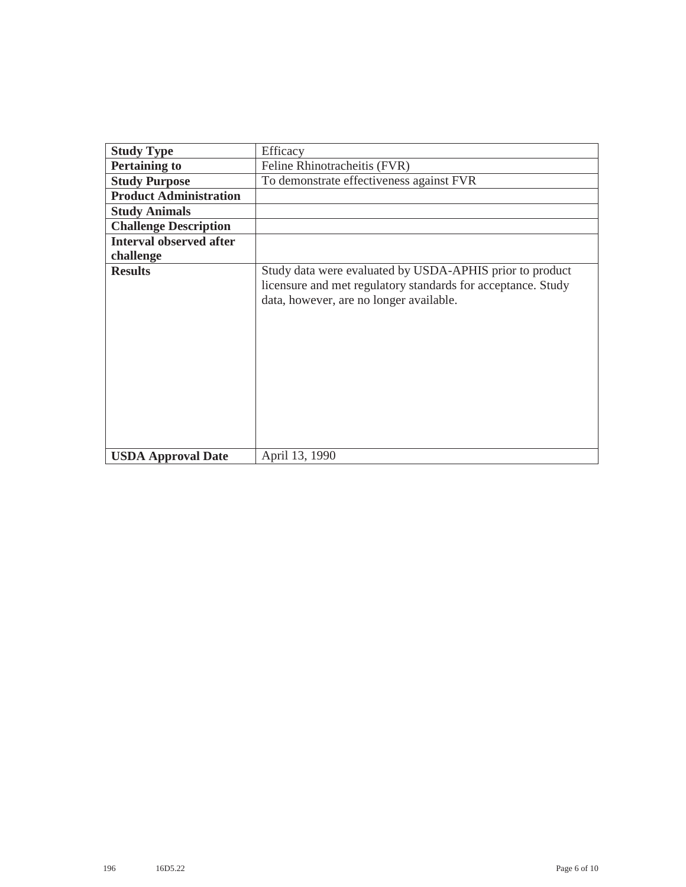| <b>Study Type</b>              | Efficacy                                                                                                                                                            |
|--------------------------------|---------------------------------------------------------------------------------------------------------------------------------------------------------------------|
| <b>Pertaining to</b>           | Feline Rhinotracheitis (FVR)                                                                                                                                        |
| <b>Study Purpose</b>           | To demonstrate effectiveness against FVR                                                                                                                            |
| <b>Product Administration</b>  |                                                                                                                                                                     |
| <b>Study Animals</b>           |                                                                                                                                                                     |
| <b>Challenge Description</b>   |                                                                                                                                                                     |
| <b>Interval observed after</b> |                                                                                                                                                                     |
| challenge                      |                                                                                                                                                                     |
| <b>Results</b>                 | Study data were evaluated by USDA-APHIS prior to product<br>licensure and met regulatory standards for acceptance. Study<br>data, however, are no longer available. |
| <b>USDA Approval Date</b>      | April 13, 1990                                                                                                                                                      |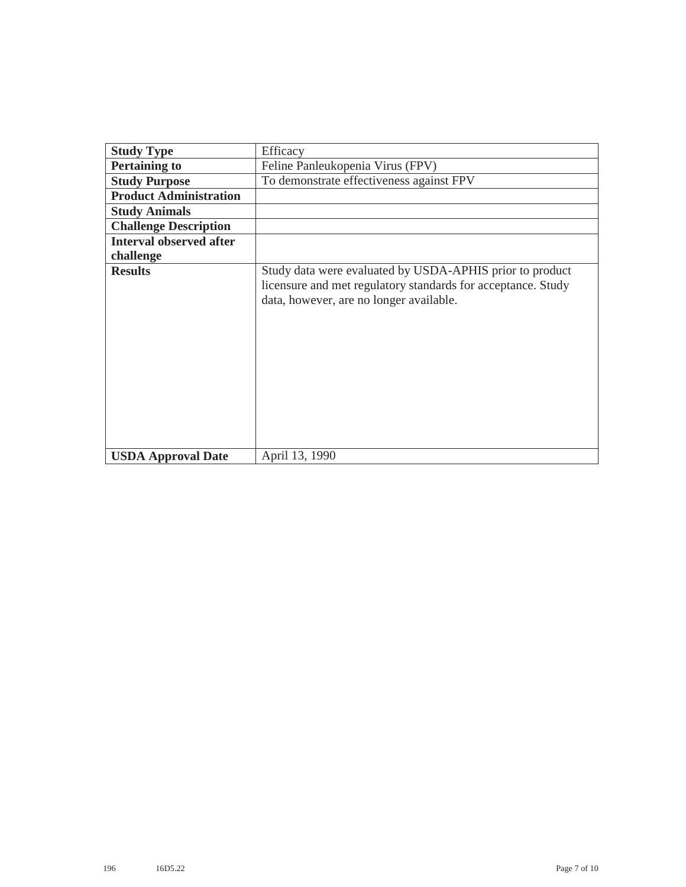| <b>Study Type</b>              | Efficacy                                                                                                                                                            |
|--------------------------------|---------------------------------------------------------------------------------------------------------------------------------------------------------------------|
| <b>Pertaining to</b>           | Feline Panleukopenia Virus (FPV)                                                                                                                                    |
| <b>Study Purpose</b>           | To demonstrate effectiveness against FPV                                                                                                                            |
| <b>Product Administration</b>  |                                                                                                                                                                     |
| <b>Study Animals</b>           |                                                                                                                                                                     |
| <b>Challenge Description</b>   |                                                                                                                                                                     |
| <b>Interval observed after</b> |                                                                                                                                                                     |
| challenge                      |                                                                                                                                                                     |
| <b>Results</b>                 | Study data were evaluated by USDA-APHIS prior to product<br>licensure and met regulatory standards for acceptance. Study<br>data, however, are no longer available. |
| <b>USDA Approval Date</b>      | April 13, 1990                                                                                                                                                      |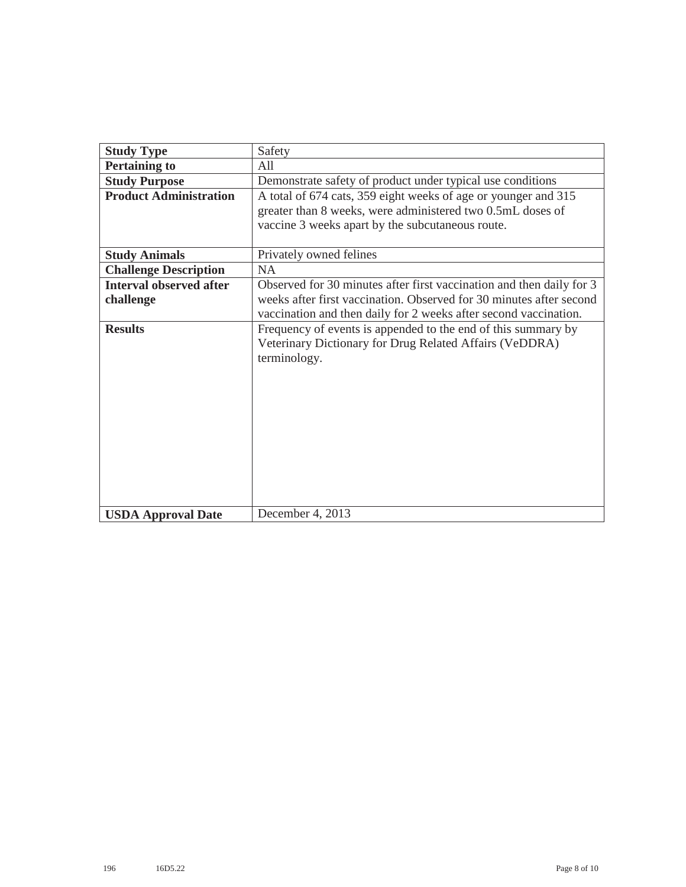| <b>Study Type</b>              | Safety                                                               |
|--------------------------------|----------------------------------------------------------------------|
|                                |                                                                      |
| <b>Pertaining to</b>           | All                                                                  |
| <b>Study Purpose</b>           | Demonstrate safety of product under typical use conditions           |
| <b>Product Administration</b>  | A total of 674 cats, 359 eight weeks of age or younger and 315       |
|                                | greater than 8 weeks, were administered two 0.5mL doses of           |
|                                | vaccine 3 weeks apart by the subcutaneous route.                     |
|                                |                                                                      |
| <b>Study Animals</b>           | Privately owned felines                                              |
| <b>Challenge Description</b>   | <b>NA</b>                                                            |
| <b>Interval observed after</b> | Observed for 30 minutes after first vaccination and then daily for 3 |
| challenge                      | weeks after first vaccination. Observed for 30 minutes after second  |
|                                | vaccination and then daily for 2 weeks after second vaccination.     |
| <b>Results</b>                 | Frequency of events is appended to the end of this summary by        |
|                                | Veterinary Dictionary for Drug Related Affairs (VeDDRA)              |
|                                | terminology.                                                         |
|                                |                                                                      |
|                                |                                                                      |
|                                |                                                                      |
|                                |                                                                      |
|                                |                                                                      |
|                                |                                                                      |
|                                |                                                                      |
|                                |                                                                      |
|                                |                                                                      |
|                                |                                                                      |
|                                |                                                                      |
| <b>USDA Approval Date</b>      | December 4, 2013                                                     |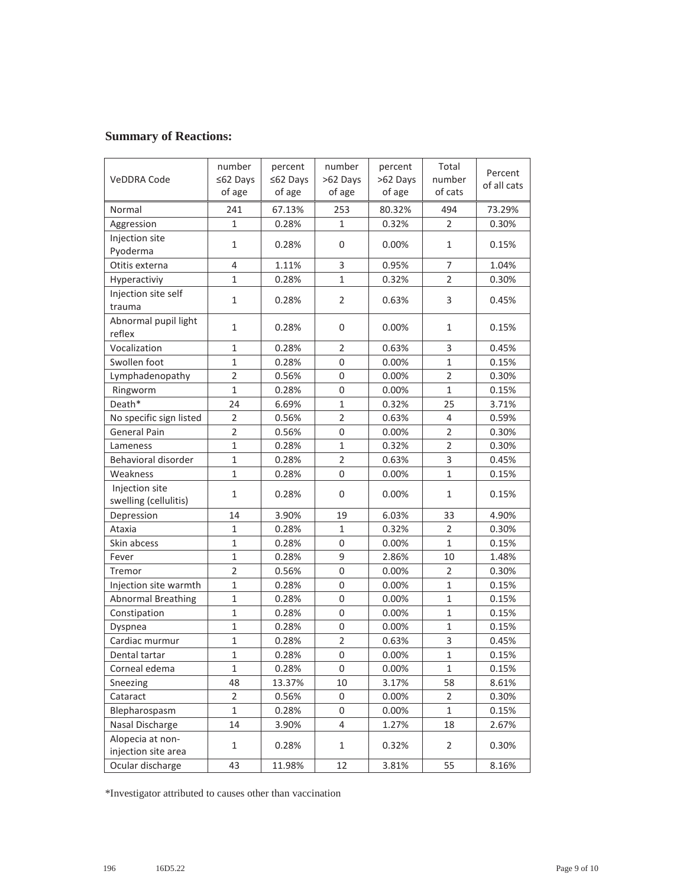## **Summary of Reactions:**

| VeDDRA Code                             | number<br>≤62 Days<br>of age | percent<br>≤62 Days<br>of age | number<br>>62 Days<br>of age | percent<br>>62 Days<br>of age | Total<br>number<br>of cats | Percent<br>of all cats |
|-----------------------------------------|------------------------------|-------------------------------|------------------------------|-------------------------------|----------------------------|------------------------|
| Normal                                  | 241                          | 67.13%                        | 253                          | 80.32%                        | 494                        | 73.29%                 |
| Aggression                              | $\mathbf{1}$                 | 0.28%                         | 1                            | 0.32%                         | $\overline{2}$             | 0.30%                  |
| Injection site<br>Pyoderma              | 1                            | 0.28%                         | 0                            | 0.00%                         | 1                          | 0.15%                  |
| Otitis externa                          | 4                            | 1.11%                         | 3                            | 0.95%                         | $\overline{7}$             | 1.04%                  |
| Hyperactiviy                            | $\mathbf{1}$                 | 0.28%                         | $\mathbf{1}$                 | 0.32%                         | $\overline{2}$             | 0.30%                  |
| Injection site self<br>trauma           | $\mathbf{1}$                 | 0.28%                         | $\overline{2}$               | 0.63%                         | 3                          | 0.45%                  |
| Abnormal pupil light<br>reflex          | $\mathbf{1}$                 | 0.28%                         | 0                            | 0.00%                         | $\mathbf{1}$               | 0.15%                  |
| Vocalization                            | $\mathbf{1}$                 | 0.28%                         | $\overline{2}$               | 0.63%                         | 3                          | 0.45%                  |
| Swollen foot                            | $\mathbf{1}$                 | 0.28%                         | $\mathbf 0$                  | 0.00%                         | $\mathbf 1$                | 0.15%                  |
| Lymphadenopathy                         | $\overline{2}$               | 0.56%                         | $\overline{0}$               | 0.00%                         | $\overline{2}$             | 0.30%                  |
| Ringworm                                | $\mathbf{1}$                 | 0.28%                         | $\mathbf 0$                  | 0.00%                         | $\mathbf{1}$               | 0.15%                  |
| Death*                                  | 24                           | 6.69%                         | $\mathbf{1}$                 | 0.32%                         | 25                         | 3.71%                  |
| No specific sign listed                 | $\overline{2}$               | 0.56%                         | $\overline{2}$               | 0.63%                         | $\overline{4}$             | 0.59%                  |
| <b>General Pain</b>                     | $\overline{2}$               | 0.56%                         | $\mathbf 0$                  | 0.00%                         | $\overline{2}$             | 0.30%                  |
| Lameness                                | $\mathbf 1$                  | 0.28%                         | $\mathbf{1}$                 | 0.32%                         | $\overline{2}$             | 0.30%                  |
| Behavioral disorder                     | $\mathbf 1$                  | 0.28%                         | $\overline{2}$               | 0.63%                         | $\mathsf 3$                | 0.45%                  |
| Weakness                                | $\mathbf{1}$                 | 0.28%                         | $\overline{0}$               | 0.00%                         | $\mathbf{1}$               | 0.15%                  |
| Injection site<br>swelling (cellulitis) | $\mathbf{1}$                 | 0.28%                         | 0                            | 0.00%                         | $\mathbf{1}$               | 0.15%                  |
| Depression                              | 14                           | 3.90%                         | 19                           | 6.03%                         | 33                         | 4.90%                  |
| Ataxia                                  | $\mathbf{1}$                 | 0.28%                         | $\mathbf{1}$                 | 0.32%                         | $\overline{2}$             | 0.30%                  |
| Skin abcess                             | $\mathbf{1}$                 | 0.28%                         | 0                            | 0.00%                         | $\mathbf{1}$               | 0.15%                  |
| Fever                                   | $\mathbf{1}$                 | 0.28%                         | 9                            | 2.86%                         | 10                         | 1.48%                  |
| Tremor                                  | $\overline{2}$               | 0.56%                         | $\overline{0}$               | 0.00%                         | $\overline{2}$             | 0.30%                  |
| Injection site warmth                   | 1                            | 0.28%                         | 0                            | 0.00%                         | $\mathbf{1}$               | 0.15%                  |
| Abnormal Breathing                      | $\mathbf{1}$                 | 0.28%                         | $\overline{0}$               | 0.00%                         | $\mathbf{1}$               | 0.15%                  |
| Constipation                            | $\mathbf 1$                  | 0.28%                         | $\overline{0}$               | 0.00%                         | $\mathbf{1}$               | 0.15%                  |
| Dyspnea                                 | $\mathbf{1}$                 | 0.28%                         | $\mathbf 0$                  | 0.00%                         | $1\,$                      | 0.15%                  |
| Cardiac murmur                          | $\mathbf{1}$                 | 0.28%                         | $\overline{2}$               | 0.63%                         | $\ensuremath{\mathsf{3}}$  | 0.45%                  |
| Dental tartar                           | $\mathbf 1$                  | 0.28%                         | $\boldsymbol{0}$             | $\mathbf 1$<br>0.00%          |                            | 0.15%                  |
| Corneal edema                           | $\mathbf 1$                  | 0.28%                         | 0                            | 0.00%                         | $1\,$                      | 0.15%                  |
| Sneezing                                | 48                           | 13.37%                        | 10                           | 3.17%                         | 58                         | 8.61%                  |
| Cataract                                | 2                            | 0.56%                         | 0                            | 0.00%                         | $\overline{2}$             | 0.30%                  |
| Blepharospasm                           | $1\,$                        | 0.28%                         | 0                            | 0.00%                         | $\mathbf{1}$               | 0.15%                  |
| Nasal Discharge                         | 14                           | 3.90%                         | 4                            | 1.27%                         | 18                         | 2.67%                  |
| Alopecia at non-<br>injection site area | $\mathbf{1}$                 | 0.28%                         | $\mathbf{1}$                 | 0.32%                         | 2                          | 0.30%                  |
| Ocular discharge                        | 43                           | 11.98%                        | 12                           | 3.81%                         | 55                         | 8.16%                  |

\*Investigator attributed to causes other than vaccination